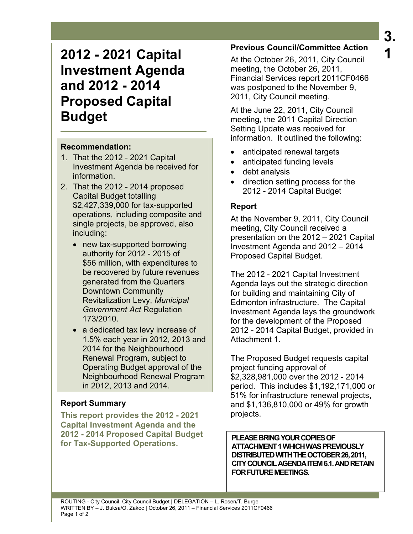# **2012 - 2021 Capital Investment Agenda and 2012 - 2014 Proposed Capital Budget**

#### **Recommendation:**

- 1. That the 2012 2021 Capital Investment Agenda be received for information.
- 2. That the 2012 2014 proposed Capital Budget totalling \$2,427,339,000 for tax-supported operations, including composite and single projects, be approved, also including:
	- new tax-supported borrowing authority for 2012 - 2015 of \$56 million, with expenditures to be recovered by future revenues generated from the Quarters Downtown Community Revitalization Levy, *Municipal Government Act* Regulation 173/2010.
	- a dedicated tax levy increase of 1.5% each year in 2012, 2013 and 2014 for the Neighbourhood Renewal Program, subject to Operating Budget approval of the Neighbourhood Renewal Program in 2012, 2013 and 2014.

## **Report Summary**

**This report provides the 2012 - 2021 Capital Investment Agenda and the 2012 - 2014 Proposed Capital Budget for Tax-Supported Operations.** 

# **Previous Council/Committee Action**

At the October 26, 2011, City Council meeting, the October 26, 2011, Financial Services report 2011CF0466 was postponed to the November 9, 2011, City Council meeting.

At the June 22, 2011, City Council meeting, the 2011 Capital Direction Setting Update was received for information. It outlined the following:

- anticipated renewal targets
- anticipated funding levels
- debt analysis
- direction setting process for the 2012 - 2014 Capital Budget

## **Report**

At the November 9, 2011, City Council meeting, City Council received a presentation on the 2012 – 2021 Capital Investment Agenda and 2012 – 2014 Proposed Capital Budget.

The 2012 - 2021 Capital Investment Agenda lays out the strategic direction for building and maintaining City of Edmonton infrastructure. The Capital Investment Agenda lays the groundwork for the development of the Proposed 2012 - 2014 Capital Budget, provided in Attachment 1.

The Proposed Budget requests capital project funding approval of \$2,328,981,000 over the 2012 - 2014 period. This includes \$1,192,171,000 or 51% for infrastructure renewal projects, and \$1,136,810,000 or 49% for growth projects.

**PLEASE BRING YOUR COPIES OF ATTACHMENT 1 WHICH WAS PREVIOUSLY DISTRIBUTED WITH THE OCTOBER 26, 2011, CITY COUNCIL AGENDA ITEM 6.1. AND RETAIN FOR FUTURE MEETINGS.**